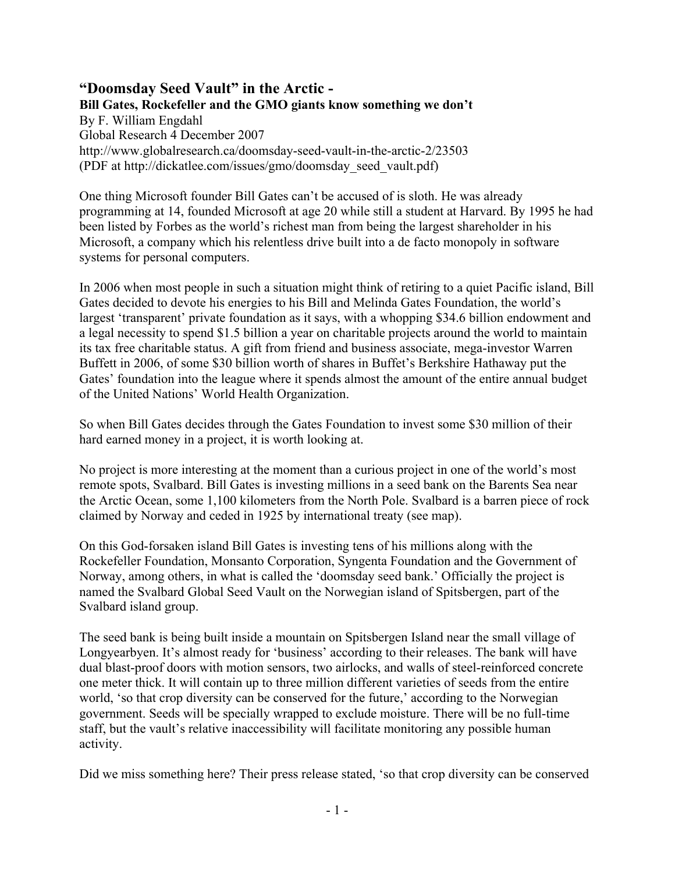#### **"Doomsday Seed Vault" in the Arctic - Bill Gates, Rockefeller and the GMO giants know something we don't** By F. William Engdahl Global Research 4 December 2007 http://www.globalresearch.ca/doomsday-seed-vault-in-the-arctic-2/23503 (PDF at http://dickatlee.com/issues/gmo/doomsday\_seed\_vault.pdf)

One thing Microsoft founder Bill Gates can't be accused of is sloth. He was already programming at 14, founded Microsoft at age 20 while still a student at Harvard. By 1995 he had been listed by Forbes as the world's richest man from being the largest shareholder in his Microsoft, a company which his relentless drive built into a de facto monopoly in software systems for personal computers.

In 2006 when most people in such a situation might think of retiring to a quiet Pacific island, Bill Gates decided to devote his energies to his Bill and Melinda Gates Foundation, the world's largest 'transparent' private foundation as it says, with a whopping \$34.6 billion endowment and a legal necessity to spend \$1.5 billion a year on charitable projects around the world to maintain its tax free charitable status. A gift from friend and business associate, mega-investor Warren Buffett in 2006, of some \$30 billion worth of shares in Buffet's Berkshire Hathaway put the Gates' foundation into the league where it spends almost the amount of the entire annual budget of the United Nations' World Health Organization.

So when Bill Gates decides through the Gates Foundation to invest some \$30 million of their hard earned money in a project, it is worth looking at.

No project is more interesting at the moment than a curious project in one of the world's most remote spots, Svalbard. Bill Gates is investing millions in a seed bank on the Barents Sea near the Arctic Ocean, some 1,100 kilometers from the North Pole. Svalbard is a barren piece of rock claimed by Norway and ceded in 1925 by international treaty (see map).

On this God-forsaken island Bill Gates is investing tens of his millions along with the Rockefeller Foundation, Monsanto Corporation, Syngenta Foundation and the Government of Norway, among others, in what is called the 'doomsday seed bank.' Officially the project is named the Svalbard Global Seed Vault on the Norwegian island of Spitsbergen, part of the Svalbard island group.

The seed bank is being built inside a mountain on Spitsbergen Island near the small village of Longyearbyen. It's almost ready for 'business' according to their releases. The bank will have dual blast-proof doors with motion sensors, two airlocks, and walls of steel-reinforced concrete one meter thick. It will contain up to three million different varieties of seeds from the entire world, 'so that crop diversity can be conserved for the future,' according to the Norwegian government. Seeds will be specially wrapped to exclude moisture. There will be no full-time staff, but the vault's relative inaccessibility will facilitate monitoring any possible human activity.

Did we miss something here? Their press release stated, 'so that crop diversity can be conserved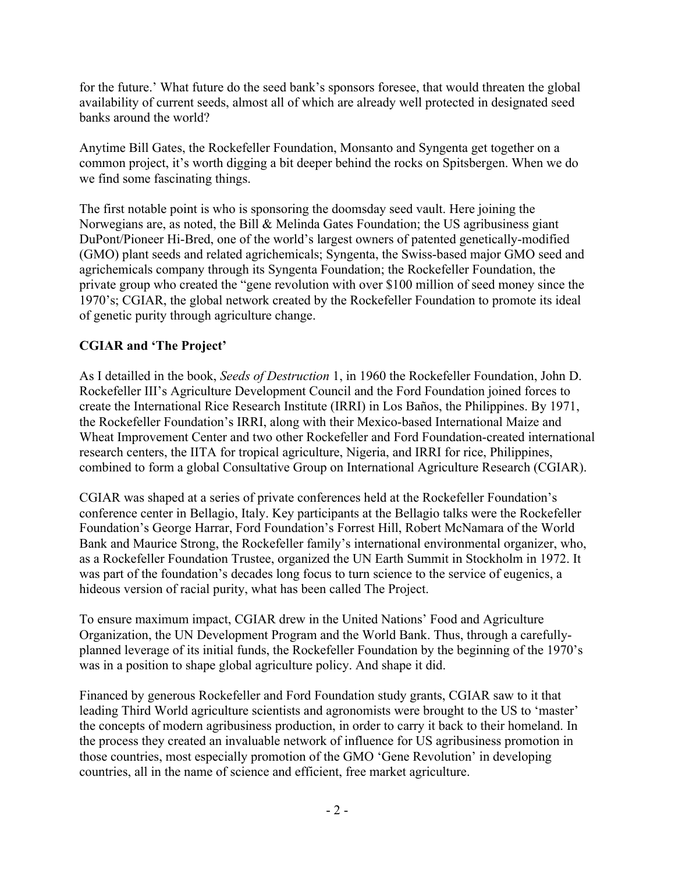for the future.' What future do the seed bank's sponsors foresee, that would threaten the global availability of current seeds, almost all of which are already well protected in designated seed banks around the world?

Anytime Bill Gates, the Rockefeller Foundation, Monsanto and Syngenta get together on a common project, it's worth digging a bit deeper behind the rocks on Spitsbergen. When we do we find some fascinating things.

The first notable point is who is sponsoring the doomsday seed vault. Here joining the Norwegians are, as noted, the Bill & Melinda Gates Foundation; the US agribusiness giant DuPont/Pioneer Hi-Bred, one of the world's largest owners of patented genetically-modified (GMO) plant seeds and related agrichemicals; Syngenta, the Swiss-based major GMO seed and agrichemicals company through its Syngenta Foundation; the Rockefeller Foundation, the private group who created the "gene revolution with over \$100 million of seed money since the 1970's; CGIAR, the global network created by the Rockefeller Foundation to promote its ideal of genetic purity through agriculture change.

# **CGIAR and 'The Project'**

As I detailled in the book, *Seeds of Destruction* 1, in 1960 the Rockefeller Foundation, John D. Rockefeller III's Agriculture Development Council and the Ford Foundation joined forces to create the International Rice Research Institute (IRRI) in Los Baños, the Philippines. By 1971, the Rockefeller Foundation's IRRI, along with their Mexico-based International Maize and Wheat Improvement Center and two other Rockefeller and Ford Foundation-created international research centers, the IITA for tropical agriculture, Nigeria, and IRRI for rice, Philippines, combined to form a global Consultative Group on International Agriculture Research (CGIAR).

CGIAR was shaped at a series of private conferences held at the Rockefeller Foundation's conference center in Bellagio, Italy. Key participants at the Bellagio talks were the Rockefeller Foundation's George Harrar, Ford Foundation's Forrest Hill, Robert McNamara of the World Bank and Maurice Strong, the Rockefeller family's international environmental organizer, who, as a Rockefeller Foundation Trustee, organized the UN Earth Summit in Stockholm in 1972. It was part of the foundation's decades long focus to turn science to the service of eugenics, a hideous version of racial purity, what has been called The Project.

To ensure maximum impact, CGIAR drew in the United Nations' Food and Agriculture Organization, the UN Development Program and the World Bank. Thus, through a carefullyplanned leverage of its initial funds, the Rockefeller Foundation by the beginning of the 1970's was in a position to shape global agriculture policy. And shape it did.

Financed by generous Rockefeller and Ford Foundation study grants, CGIAR saw to it that leading Third World agriculture scientists and agronomists were brought to the US to 'master' the concepts of modern agribusiness production, in order to carry it back to their homeland. In the process they created an invaluable network of influence for US agribusiness promotion in those countries, most especially promotion of the GMO 'Gene Revolution' in developing countries, all in the name of science and efficient, free market agriculture.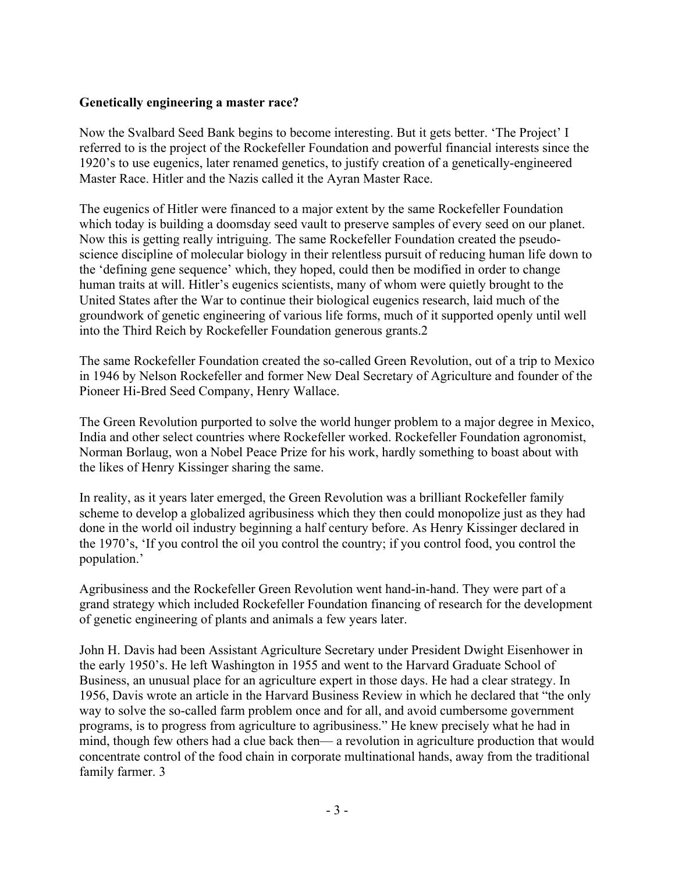#### **Genetically engineering a master race?**

Now the Svalbard Seed Bank begins to become interesting. But it gets better. 'The Project' I referred to is the project of the Rockefeller Foundation and powerful financial interests since the 1920's to use eugenics, later renamed genetics, to justify creation of a genetically-engineered Master Race. Hitler and the Nazis called it the Ayran Master Race.

The eugenics of Hitler were financed to a major extent by the same Rockefeller Foundation which today is building a doomsday seed vault to preserve samples of every seed on our planet. Now this is getting really intriguing. The same Rockefeller Foundation created the pseudoscience discipline of molecular biology in their relentless pursuit of reducing human life down to the 'defining gene sequence' which, they hoped, could then be modified in order to change human traits at will. Hitler's eugenics scientists, many of whom were quietly brought to the United States after the War to continue their biological eugenics research, laid much of the groundwork of genetic engineering of various life forms, much of it supported openly until well into the Third Reich by Rockefeller Foundation generous grants.2

The same Rockefeller Foundation created the so-called Green Revolution, out of a trip to Mexico in 1946 by Nelson Rockefeller and former New Deal Secretary of Agriculture and founder of the Pioneer Hi-Bred Seed Company, Henry Wallace.

The Green Revolution purported to solve the world hunger problem to a major degree in Mexico, India and other select countries where Rockefeller worked. Rockefeller Foundation agronomist, Norman Borlaug, won a Nobel Peace Prize for his work, hardly something to boast about with the likes of Henry Kissinger sharing the same.

In reality, as it years later emerged, the Green Revolution was a brilliant Rockefeller family scheme to develop a globalized agribusiness which they then could monopolize just as they had done in the world oil industry beginning a half century before. As Henry Kissinger declared in the 1970's, 'If you control the oil you control the country; if you control food, you control the population.'

Agribusiness and the Rockefeller Green Revolution went hand-in-hand. They were part of a grand strategy which included Rockefeller Foundation financing of research for the development of genetic engineering of plants and animals a few years later.

John H. Davis had been Assistant Agriculture Secretary under President Dwight Eisenhower in the early 1950's. He left Washington in 1955 and went to the Harvard Graduate School of Business, an unusual place for an agriculture expert in those days. He had a clear strategy. In 1956, Davis wrote an article in the Harvard Business Review in which he declared that "the only way to solve the so-called farm problem once and for all, and avoid cumbersome government programs, is to progress from agriculture to agribusiness." He knew precisely what he had in mind, though few others had a clue back then— a revolution in agriculture production that would concentrate control of the food chain in corporate multinational hands, away from the traditional family farmer. 3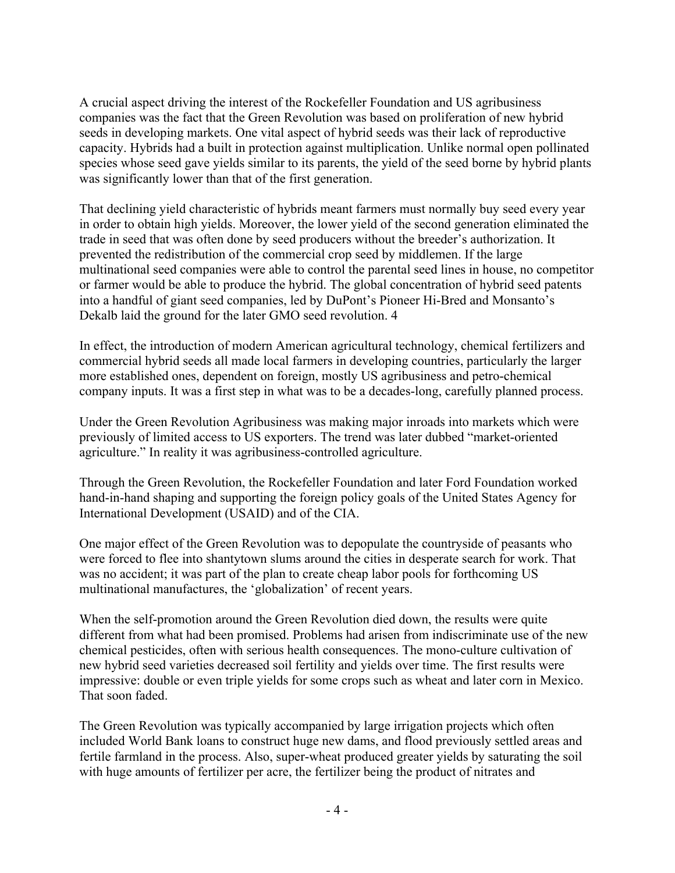A crucial aspect driving the interest of the Rockefeller Foundation and US agribusiness companies was the fact that the Green Revolution was based on proliferation of new hybrid seeds in developing markets. One vital aspect of hybrid seeds was their lack of reproductive capacity. Hybrids had a built in protection against multiplication. Unlike normal open pollinated species whose seed gave yields similar to its parents, the yield of the seed borne by hybrid plants was significantly lower than that of the first generation.

That declining yield characteristic of hybrids meant farmers must normally buy seed every year in order to obtain high yields. Moreover, the lower yield of the second generation eliminated the trade in seed that was often done by seed producers without the breeder's authorization. It prevented the redistribution of the commercial crop seed by middlemen. If the large multinational seed companies were able to control the parental seed lines in house, no competitor or farmer would be able to produce the hybrid. The global concentration of hybrid seed patents into a handful of giant seed companies, led by DuPont's Pioneer Hi-Bred and Monsanto's Dekalb laid the ground for the later GMO seed revolution. 4

In effect, the introduction of modern American agricultural technology, chemical fertilizers and commercial hybrid seeds all made local farmers in developing countries, particularly the larger more established ones, dependent on foreign, mostly US agribusiness and petro-chemical company inputs. It was a first step in what was to be a decades-long, carefully planned process.

Under the Green Revolution Agribusiness was making major inroads into markets which were previously of limited access to US exporters. The trend was later dubbed "market-oriented agriculture." In reality it was agribusiness-controlled agriculture.

Through the Green Revolution, the Rockefeller Foundation and later Ford Foundation worked hand-in-hand shaping and supporting the foreign policy goals of the United States Agency for International Development (USAID) and of the CIA.

One major effect of the Green Revolution was to depopulate the countryside of peasants who were forced to flee into shantytown slums around the cities in desperate search for work. That was no accident; it was part of the plan to create cheap labor pools for forthcoming US multinational manufactures, the 'globalization' of recent years.

When the self-promotion around the Green Revolution died down, the results were quite different from what had been promised. Problems had arisen from indiscriminate use of the new chemical pesticides, often with serious health consequences. The mono-culture cultivation of new hybrid seed varieties decreased soil fertility and yields over time. The first results were impressive: double or even triple yields for some crops such as wheat and later corn in Mexico. That soon faded.

The Green Revolution was typically accompanied by large irrigation projects which often included World Bank loans to construct huge new dams, and flood previously settled areas and fertile farmland in the process. Also, super-wheat produced greater yields by saturating the soil with huge amounts of fertilizer per acre, the fertilizer being the product of nitrates and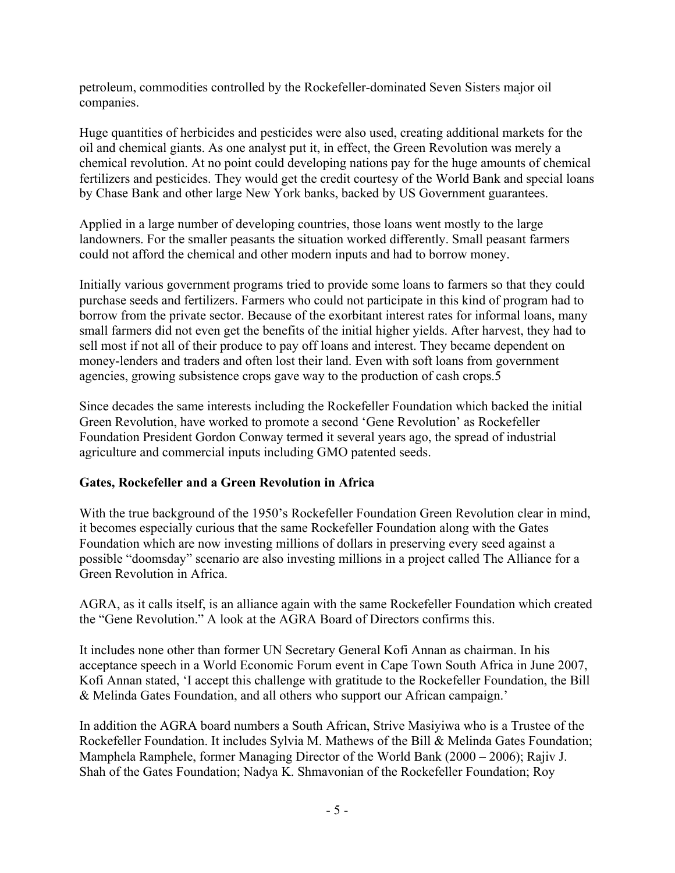petroleum, commodities controlled by the Rockefeller-dominated Seven Sisters major oil companies.

Huge quantities of herbicides and pesticides were also used, creating additional markets for the oil and chemical giants. As one analyst put it, in effect, the Green Revolution was merely a chemical revolution. At no point could developing nations pay for the huge amounts of chemical fertilizers and pesticides. They would get the credit courtesy of the World Bank and special loans by Chase Bank and other large New York banks, backed by US Government guarantees.

Applied in a large number of developing countries, those loans went mostly to the large landowners. For the smaller peasants the situation worked differently. Small peasant farmers could not afford the chemical and other modern inputs and had to borrow money.

Initially various government programs tried to provide some loans to farmers so that they could purchase seeds and fertilizers. Farmers who could not participate in this kind of program had to borrow from the private sector. Because of the exorbitant interest rates for informal loans, many small farmers did not even get the benefits of the initial higher yields. After harvest, they had to sell most if not all of their produce to pay off loans and interest. They became dependent on money-lenders and traders and often lost their land. Even with soft loans from government agencies, growing subsistence crops gave way to the production of cash crops.5

Since decades the same interests including the Rockefeller Foundation which backed the initial Green Revolution, have worked to promote a second 'Gene Revolution' as Rockefeller Foundation President Gordon Conway termed it several years ago, the spread of industrial agriculture and commercial inputs including GMO patented seeds.

## **Gates, Rockefeller and a Green Revolution in Africa**

With the true background of the 1950's Rockefeller Foundation Green Revolution clear in mind, it becomes especially curious that the same Rockefeller Foundation along with the Gates Foundation which are now investing millions of dollars in preserving every seed against a possible "doomsday" scenario are also investing millions in a project called The Alliance for a Green Revolution in Africa.

AGRA, as it calls itself, is an alliance again with the same Rockefeller Foundation which created the "Gene Revolution." A look at the AGRA Board of Directors confirms this.

It includes none other than former UN Secretary General Kofi Annan as chairman. In his acceptance speech in a World Economic Forum event in Cape Town South Africa in June 2007, Kofi Annan stated, 'I accept this challenge with gratitude to the Rockefeller Foundation, the Bill & Melinda Gates Foundation, and all others who support our African campaign.'

In addition the AGRA board numbers a South African, Strive Masiyiwa who is a Trustee of the Rockefeller Foundation. It includes Sylvia M. Mathews of the Bill & Melinda Gates Foundation; Mamphela Ramphele, former Managing Director of the World Bank (2000 – 2006); Rajiv J. Shah of the Gates Foundation; Nadya K. Shmavonian of the Rockefeller Foundation; Roy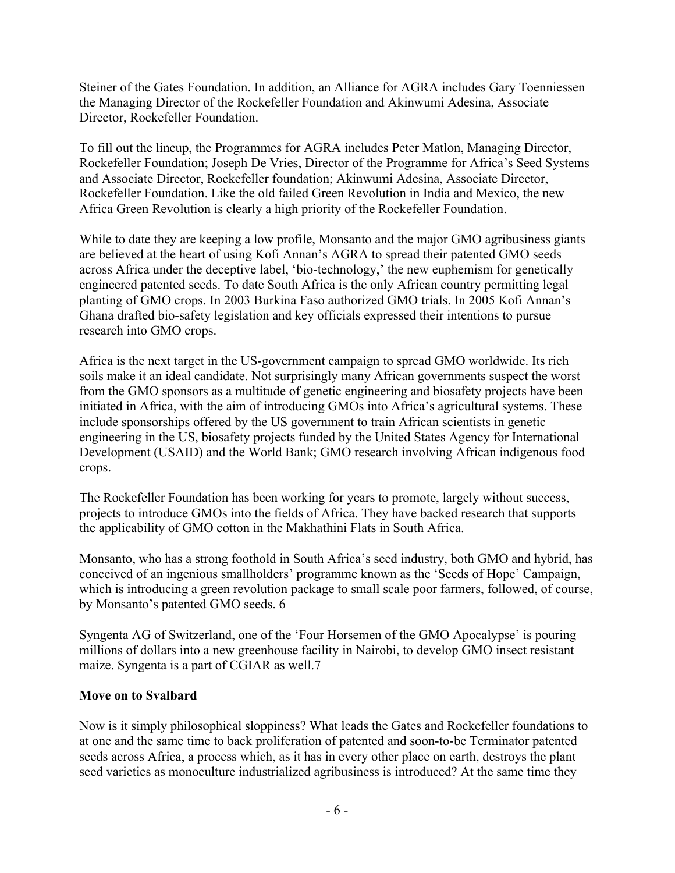Steiner of the Gates Foundation. In addition, an Alliance for AGRA includes Gary Toenniessen the Managing Director of the Rockefeller Foundation and Akinwumi Adesina, Associate Director, Rockefeller Foundation.

To fill out the lineup, the Programmes for AGRA includes Peter Matlon, Managing Director, Rockefeller Foundation; Joseph De Vries, Director of the Programme for Africa's Seed Systems and Associate Director, Rockefeller foundation; Akinwumi Adesina, Associate Director, Rockefeller Foundation. Like the old failed Green Revolution in India and Mexico, the new Africa Green Revolution is clearly a high priority of the Rockefeller Foundation.

While to date they are keeping a low profile, Monsanto and the major GMO agribusiness giants are believed at the heart of using Kofi Annan's AGRA to spread their patented GMO seeds across Africa under the deceptive label, 'bio-technology,' the new euphemism for genetically engineered patented seeds. To date South Africa is the only African country permitting legal planting of GMO crops. In 2003 Burkina Faso authorized GMO trials. In 2005 Kofi Annan's Ghana drafted bio-safety legislation and key officials expressed their intentions to pursue research into GMO crops.

Africa is the next target in the US-government campaign to spread GMO worldwide. Its rich soils make it an ideal candidate. Not surprisingly many African governments suspect the worst from the GMO sponsors as a multitude of genetic engineering and biosafety projects have been initiated in Africa, with the aim of introducing GMOs into Africa's agricultural systems. These include sponsorships offered by the US government to train African scientists in genetic engineering in the US, biosafety projects funded by the United States Agency for International Development (USAID) and the World Bank; GMO research involving African indigenous food crops.

The Rockefeller Foundation has been working for years to promote, largely without success, projects to introduce GMOs into the fields of Africa. They have backed research that supports the applicability of GMO cotton in the Makhathini Flats in South Africa.

Monsanto, who has a strong foothold in South Africa's seed industry, both GMO and hybrid, has conceived of an ingenious smallholders' programme known as the 'Seeds of Hope' Campaign, which is introducing a green revolution package to small scale poor farmers, followed, of course, by Monsanto's patented GMO seeds. 6

Syngenta AG of Switzerland, one of the 'Four Horsemen of the GMO Apocalypse' is pouring millions of dollars into a new greenhouse facility in Nairobi, to develop GMO insect resistant maize. Syngenta is a part of CGIAR as well.7

## **Move on to Svalbard**

Now is it simply philosophical sloppiness? What leads the Gates and Rockefeller foundations to at one and the same time to back proliferation of patented and soon-to-be Terminator patented seeds across Africa, a process which, as it has in every other place on earth, destroys the plant seed varieties as monoculture industrialized agribusiness is introduced? At the same time they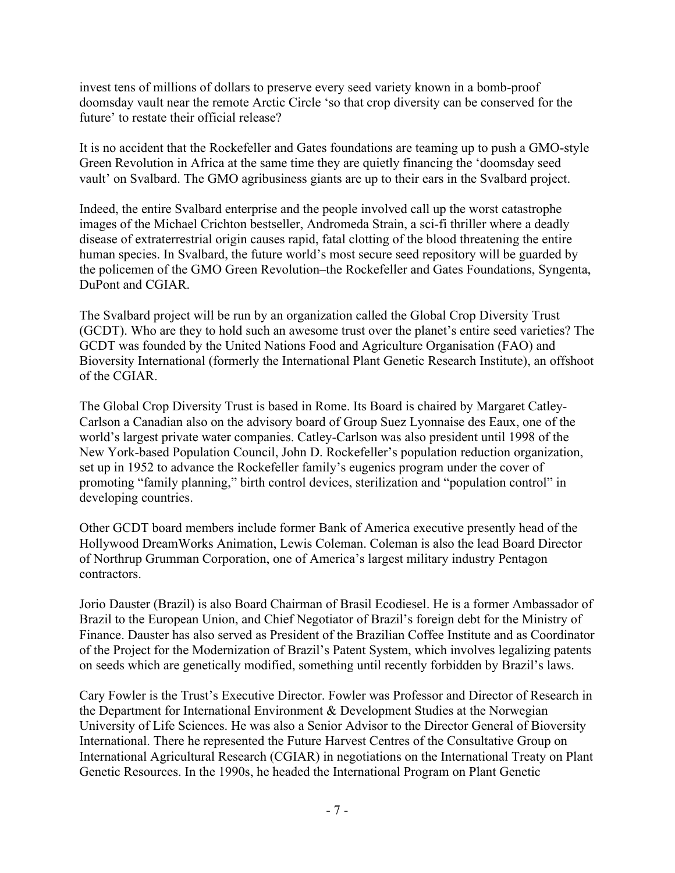invest tens of millions of dollars to preserve every seed variety known in a bomb-proof doomsday vault near the remote Arctic Circle 'so that crop diversity can be conserved for the future' to restate their official release?

It is no accident that the Rockefeller and Gates foundations are teaming up to push a GMO-style Green Revolution in Africa at the same time they are quietly financing the 'doomsday seed vault' on Svalbard. The GMO agribusiness giants are up to their ears in the Svalbard project.

Indeed, the entire Svalbard enterprise and the people involved call up the worst catastrophe images of the Michael Crichton bestseller, Andromeda Strain, a sci-fi thriller where a deadly disease of extraterrestrial origin causes rapid, fatal clotting of the blood threatening the entire human species. In Svalbard, the future world's most secure seed repository will be guarded by the policemen of the GMO Green Revolution–the Rockefeller and Gates Foundations, Syngenta, DuPont and CGIAR.

The Svalbard project will be run by an organization called the Global Crop Diversity Trust (GCDT). Who are they to hold such an awesome trust over the planet's entire seed varieties? The GCDT was founded by the United Nations Food and Agriculture Organisation (FAO) and Bioversity International (formerly the International Plant Genetic Research Institute), an offshoot of the CGIAR.

The Global Crop Diversity Trust is based in Rome. Its Board is chaired by Margaret Catley-Carlson a Canadian also on the advisory board of Group Suez Lyonnaise des Eaux, one of the world's largest private water companies. Catley-Carlson was also president until 1998 of the New York-based Population Council, John D. Rockefeller's population reduction organization, set up in 1952 to advance the Rockefeller family's eugenics program under the cover of promoting "family planning," birth control devices, sterilization and "population control" in developing countries.

Other GCDT board members include former Bank of America executive presently head of the Hollywood DreamWorks Animation, Lewis Coleman. Coleman is also the lead Board Director of Northrup Grumman Corporation, one of America's largest military industry Pentagon contractors.

Jorio Dauster (Brazil) is also Board Chairman of Brasil Ecodiesel. He is a former Ambassador of Brazil to the European Union, and Chief Negotiator of Brazil's foreign debt for the Ministry of Finance. Dauster has also served as President of the Brazilian Coffee Institute and as Coordinator of the Project for the Modernization of Brazil's Patent System, which involves legalizing patents on seeds which are genetically modified, something until recently forbidden by Brazil's laws.

Cary Fowler is the Trust's Executive Director. Fowler was Professor and Director of Research in the Department for International Environment & Development Studies at the Norwegian University of Life Sciences. He was also a Senior Advisor to the Director General of Bioversity International. There he represented the Future Harvest Centres of the Consultative Group on International Agricultural Research (CGIAR) in negotiations on the International Treaty on Plant Genetic Resources. In the 1990s, he headed the International Program on Plant Genetic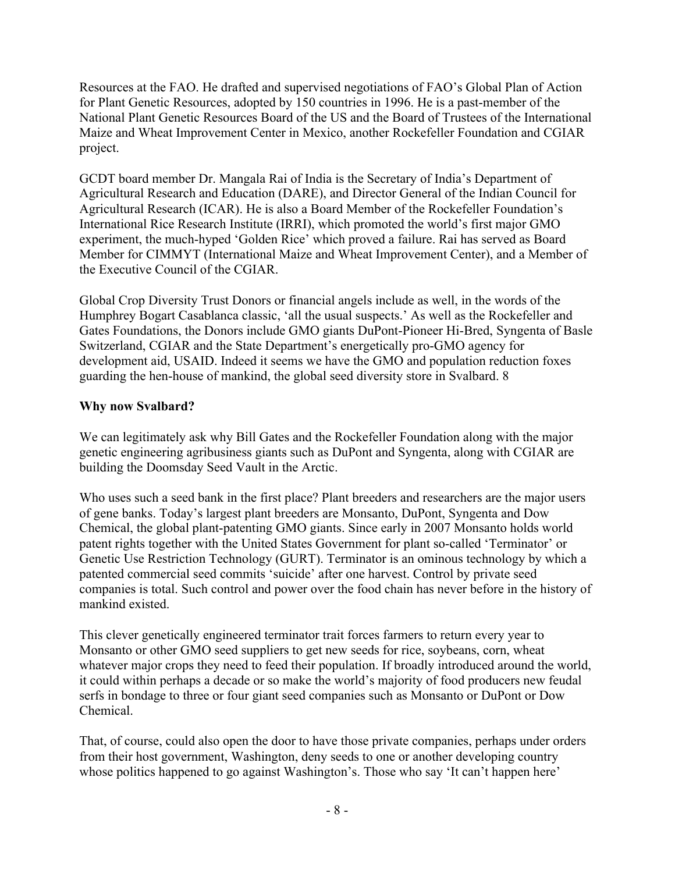Resources at the FAO. He drafted and supervised negotiations of FAO's Global Plan of Action for Plant Genetic Resources, adopted by 150 countries in 1996. He is a past-member of the National Plant Genetic Resources Board of the US and the Board of Trustees of the International Maize and Wheat Improvement Center in Mexico, another Rockefeller Foundation and CGIAR project.

GCDT board member Dr. Mangala Rai of India is the Secretary of India's Department of Agricultural Research and Education (DARE), and Director General of the Indian Council for Agricultural Research (ICAR). He is also a Board Member of the Rockefeller Foundation's International Rice Research Institute (IRRI), which promoted the world's first major GMO experiment, the much-hyped 'Golden Rice' which proved a failure. Rai has served as Board Member for CIMMYT (International Maize and Wheat Improvement Center), and a Member of the Executive Council of the CGIAR.

Global Crop Diversity Trust Donors or financial angels include as well, in the words of the Humphrey Bogart Casablanca classic, 'all the usual suspects.' As well as the Rockefeller and Gates Foundations, the Donors include GMO giants DuPont-Pioneer Hi-Bred, Syngenta of Basle Switzerland, CGIAR and the State Department's energetically pro-GMO agency for development aid, USAID. Indeed it seems we have the GMO and population reduction foxes guarding the hen-house of mankind, the global seed diversity store in Svalbard. 8

## **Why now Svalbard?**

We can legitimately ask why Bill Gates and the Rockefeller Foundation along with the major genetic engineering agribusiness giants such as DuPont and Syngenta, along with CGIAR are building the Doomsday Seed Vault in the Arctic.

Who uses such a seed bank in the first place? Plant breeders and researchers are the major users of gene banks. Today's largest plant breeders are Monsanto, DuPont, Syngenta and Dow Chemical, the global plant-patenting GMO giants. Since early in 2007 Monsanto holds world patent rights together with the United States Government for plant so-called 'Terminator' or Genetic Use Restriction Technology (GURT). Terminator is an ominous technology by which a patented commercial seed commits 'suicide' after one harvest. Control by private seed companies is total. Such control and power over the food chain has never before in the history of mankind existed.

This clever genetically engineered terminator trait forces farmers to return every year to Monsanto or other GMO seed suppliers to get new seeds for rice, soybeans, corn, wheat whatever major crops they need to feed their population. If broadly introduced around the world, it could within perhaps a decade or so make the world's majority of food producers new feudal serfs in bondage to three or four giant seed companies such as Monsanto or DuPont or Dow Chemical.

That, of course, could also open the door to have those private companies, perhaps under orders from their host government, Washington, deny seeds to one or another developing country whose politics happened to go against Washington's. Those who say 'It can't happen here'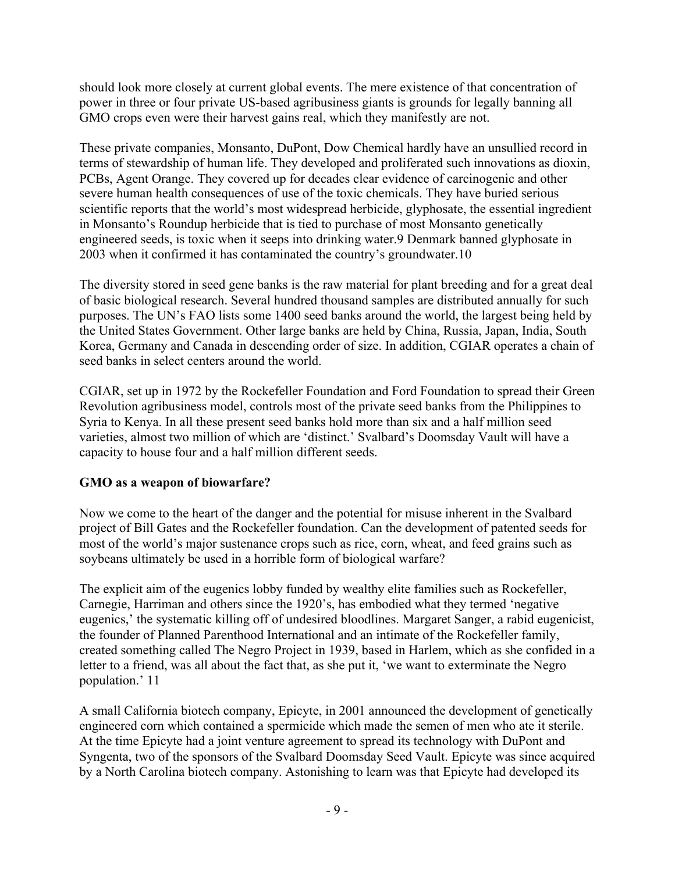should look more closely at current global events. The mere existence of that concentration of power in three or four private US-based agribusiness giants is grounds for legally banning all GMO crops even were their harvest gains real, which they manifestly are not.

These private companies, Monsanto, DuPont, Dow Chemical hardly have an unsullied record in terms of stewardship of human life. They developed and proliferated such innovations as dioxin, PCBs, Agent Orange. They covered up for decades clear evidence of carcinogenic and other severe human health consequences of use of the toxic chemicals. They have buried serious scientific reports that the world's most widespread herbicide, glyphosate, the essential ingredient in Monsanto's Roundup herbicide that is tied to purchase of most Monsanto genetically engineered seeds, is toxic when it seeps into drinking water.9 Denmark banned glyphosate in 2003 when it confirmed it has contaminated the country's groundwater.10

The diversity stored in seed gene banks is the raw material for plant breeding and for a great deal of basic biological research. Several hundred thousand samples are distributed annually for such purposes. The UN's FAO lists some 1400 seed banks around the world, the largest being held by the United States Government. Other large banks are held by China, Russia, Japan, India, South Korea, Germany and Canada in descending order of size. In addition, CGIAR operates a chain of seed banks in select centers around the world.

CGIAR, set up in 1972 by the Rockefeller Foundation and Ford Foundation to spread their Green Revolution agribusiness model, controls most of the private seed banks from the Philippines to Syria to Kenya. In all these present seed banks hold more than six and a half million seed varieties, almost two million of which are 'distinct.' Svalbard's Doomsday Vault will have a capacity to house four and a half million different seeds.

## **GMO as a weapon of biowarfare?**

Now we come to the heart of the danger and the potential for misuse inherent in the Svalbard project of Bill Gates and the Rockefeller foundation. Can the development of patented seeds for most of the world's major sustenance crops such as rice, corn, wheat, and feed grains such as soybeans ultimately be used in a horrible form of biological warfare?

The explicit aim of the eugenics lobby funded by wealthy elite families such as Rockefeller, Carnegie, Harriman and others since the 1920's, has embodied what they termed 'negative eugenics,' the systematic killing off of undesired bloodlines. Margaret Sanger, a rabid eugenicist, the founder of Planned Parenthood International and an intimate of the Rockefeller family, created something called The Negro Project in 1939, based in Harlem, which as she confided in a letter to a friend, was all about the fact that, as she put it, 'we want to exterminate the Negro population.' 11

A small California biotech company, Epicyte, in 2001 announced the development of genetically engineered corn which contained a spermicide which made the semen of men who ate it sterile. At the time Epicyte had a joint venture agreement to spread its technology with DuPont and Syngenta, two of the sponsors of the Svalbard Doomsday Seed Vault. Epicyte was since acquired by a North Carolina biotech company. Astonishing to learn was that Epicyte had developed its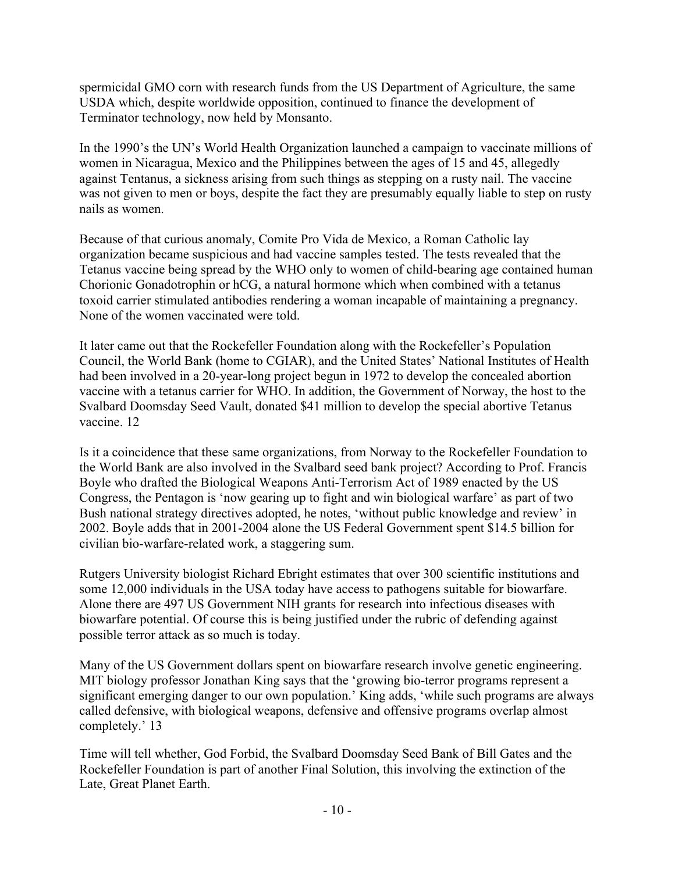spermicidal GMO corn with research funds from the US Department of Agriculture, the same USDA which, despite worldwide opposition, continued to finance the development of Terminator technology, now held by Monsanto.

In the 1990's the UN's World Health Organization launched a campaign to vaccinate millions of women in Nicaragua, Mexico and the Philippines between the ages of 15 and 45, allegedly against Tentanus, a sickness arising from such things as stepping on a rusty nail. The vaccine was not given to men or boys, despite the fact they are presumably equally liable to step on rusty nails as women.

Because of that curious anomaly, Comite Pro Vida de Mexico, a Roman Catholic lay organization became suspicious and had vaccine samples tested. The tests revealed that the Tetanus vaccine being spread by the WHO only to women of child-bearing age contained human Chorionic Gonadotrophin or hCG, a natural hormone which when combined with a tetanus toxoid carrier stimulated antibodies rendering a woman incapable of maintaining a pregnancy. None of the women vaccinated were told.

It later came out that the Rockefeller Foundation along with the Rockefeller's Population Council, the World Bank (home to CGIAR), and the United States' National Institutes of Health had been involved in a 20-year-long project begun in 1972 to develop the concealed abortion vaccine with a tetanus carrier for WHO. In addition, the Government of Norway, the host to the Svalbard Doomsday Seed Vault, donated \$41 million to develop the special abortive Tetanus vaccine. 12

Is it a coincidence that these same organizations, from Norway to the Rockefeller Foundation to the World Bank are also involved in the Svalbard seed bank project? According to Prof. Francis Boyle who drafted the Biological Weapons Anti-Terrorism Act of 1989 enacted by the US Congress, the Pentagon is 'now gearing up to fight and win biological warfare' as part of two Bush national strategy directives adopted, he notes, 'without public knowledge and review' in 2002. Boyle adds that in 2001-2004 alone the US Federal Government spent \$14.5 billion for civilian bio-warfare-related work, a staggering sum.

Rutgers University biologist Richard Ebright estimates that over 300 scientific institutions and some 12,000 individuals in the USA today have access to pathogens suitable for biowarfare. Alone there are 497 US Government NIH grants for research into infectious diseases with biowarfare potential. Of course this is being justified under the rubric of defending against possible terror attack as so much is today.

Many of the US Government dollars spent on biowarfare research involve genetic engineering. MIT biology professor Jonathan King says that the 'growing bio-terror programs represent a significant emerging danger to our own population.' King adds, 'while such programs are always called defensive, with biological weapons, defensive and offensive programs overlap almost completely.' 13

Time will tell whether, God Forbid, the Svalbard Doomsday Seed Bank of Bill Gates and the Rockefeller Foundation is part of another Final Solution, this involving the extinction of the Late, Great Planet Earth.